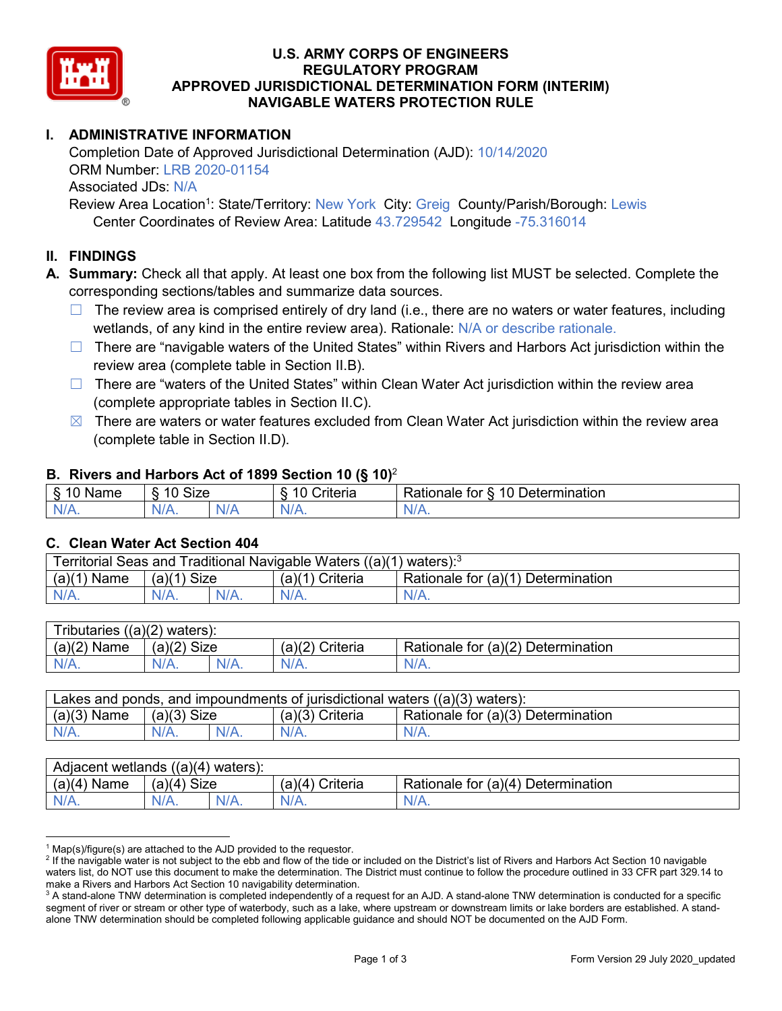

## **U.S. ARMY CORPS OF ENGINEERS REGULATORY PROGRAM APPROVED JURISDICTIONAL DETERMINATION FORM (INTERIM) NAVIGABLE WATERS PROTECTION RULE**

## **I. ADMINISTRATIVE INFORMATION**

Completion Date of Approved Jurisdictional Determination (AJD): 10/14/2020 ORM Number: LRB 2020-01154 Associated JDs: N/A Review Area Location<sup>1</sup>: State/Territory: New York City: Greig County/Parish/Borough: Lewis

Center Coordinates of Review Area: Latitude 43.729542 Longitude -75.316014

## **II. FINDINGS**

**A. Summary:** Check all that apply. At least one box from the following list MUST be selected. Complete the corresponding sections/tables and summarize data sources.

- $\Box$  The review area is comprised entirely of dry land (i.e., there are no waters or water features, including wetlands, of any kind in the entire review area). Rationale: N/A or describe rationale.
- $\Box$  There are "navigable waters of the United States" within Rivers and Harbors Act jurisdiction within the review area (complete table in Section II.B).
- $\Box$  There are "waters of the United States" within Clean Water Act jurisdiction within the review area (complete appropriate tables in Section II.C).
- $\boxtimes$  There are waters or water features excluded from Clean Water Act jurisdiction within the review area (complete table in Section II.D).

#### **B. Rivers and Harbors Act of 1899 Section 10 (§ 10)**<sup>2</sup>

|                                             |                      |    | $\cdot$                                                 |                                                 |
|---------------------------------------------|----------------------|----|---------------------------------------------------------|-------------------------------------------------|
| $\sim$<br>$-1$ and the set of $\sim$<br>ыше | <b>Size</b><br>10    |    | $\mathbf{r}$<br>10<br>-<br>$"$ ritaria<br><b>AILCIT</b> | Determination<br>$\sqrt{ }$<br>⊀atıonale<br>tor |
| $N/A$ .                                     | $\sim$ $\sim$<br>VA. | N/ | $N/A$ .                                                 | N.<br>$\mathbf{v}$                              |

#### **C. Clean Water Act Section 404**

| Territorial Seas and Traditional Navigable Waters ((a)(1)<br>waters): <sup>3</sup> |                |  |                   |                                    |  |  |
|------------------------------------------------------------------------------------|----------------|--|-------------------|------------------------------------|--|--|
| (a)(1)<br>Name                                                                     | Size<br>(a)(1) |  | (a)(1<br>Criteria | Rationale for (a)(1) Determination |  |  |
|                                                                                    | $N/A$ .        |  | $N/A$ .           | $N/A$ .                            |  |  |

| Tributaries<br>$((a)(2)$ waters): |                |         |                    |                                    |  |  |
|-----------------------------------|----------------|---------|--------------------|------------------------------------|--|--|
| (a)(2)<br>Name                    | (a)(2)<br>Size |         | (a)(2)<br>Criteria | Rationale for (a)(2) Determination |  |  |
| $N/A$ .                           | $N/A$ .        | $N/A$ . | $N/A$ .            | N/A.                               |  |  |

| Lakes and ponds, and impoundments of jurisdictional waters $((a)(3)$ waters): |               |  |                   |                                    |  |  |
|-------------------------------------------------------------------------------|---------------|--|-------------------|------------------------------------|--|--|
| $(a)(3)$ Name                                                                 | $(a)(3)$ Size |  | $(a)(3)$ Criteria | Rationale for (a)(3) Determination |  |  |
| $N/A$ .                                                                       | $N/A$ .       |  | $N/A$ .           | $N/A$ .                            |  |  |

| Adjacent wetlands<br>((a)(4)<br>) waters): |                       |         |                   |                                    |  |  |
|--------------------------------------------|-----------------------|---------|-------------------|------------------------------------|--|--|
| (a)(4)<br>Name                             | (a)(4)<br><b>Size</b> |         | Criteria<br>(a)(4 | Rationale for (a)(4) Determination |  |  |
| N/A.                                       | $N/A$ .               | $N/A$ . | $N/A$ .           | $N/A$ .                            |  |  |

 $1$  Map(s)/figure(s) are attached to the AJD provided to the requestor.

<sup>&</sup>lt;sup>2</sup> If the navigable water is not subject to the ebb and flow of the tide or included on the District's list of Rivers and Harbors Act Section 10 navigable waters list, do NOT use this document to make the determination. The District must continue to follow the procedure outlined in 33 CFR part 329.14 to make a Rivers and Harbors Act Section 10 navigability determination.

 $3$  A stand-alone TNW determination is completed independently of a request for an AJD. A stand-alone TNW determination is conducted for a specific segment of river or stream or other type of waterbody, such as a lake, where upstream or downstream limits or lake borders are established. A standalone TNW determination should be completed following applicable guidance and should NOT be documented on the AJD Form.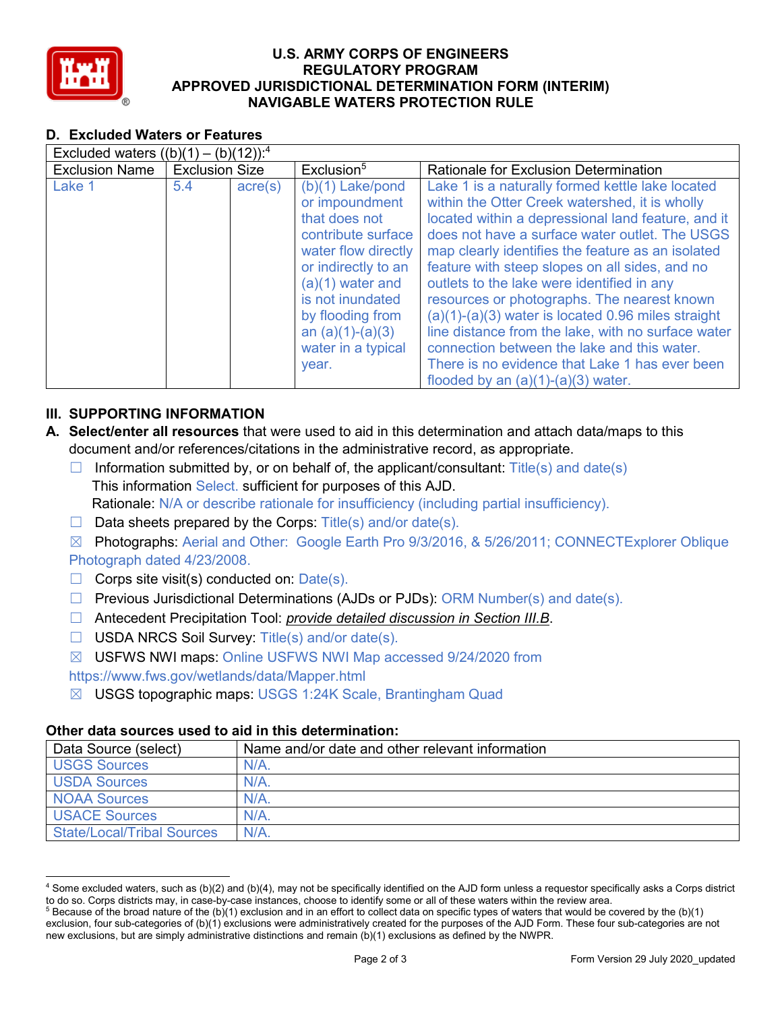

## **U.S. ARMY CORPS OF ENGINEERS REGULATORY PROGRAM APPROVED JURISDICTIONAL DETERMINATION FORM (INTERIM) NAVIGABLE WATERS PROTECTION RULE**

## **D. Excluded Waters or Features**

| Excluded waters $((b)(1) - (b)(12))$ : <sup>4</sup> |                       |                  |                                                                                                                                                                                                                                              |                                                                                                                                                                                                                                                                                                                                                                                                                                                                                                                                                                                                                                                                       |  |  |
|-----------------------------------------------------|-----------------------|------------------|----------------------------------------------------------------------------------------------------------------------------------------------------------------------------------------------------------------------------------------------|-----------------------------------------------------------------------------------------------------------------------------------------------------------------------------------------------------------------------------------------------------------------------------------------------------------------------------------------------------------------------------------------------------------------------------------------------------------------------------------------------------------------------------------------------------------------------------------------------------------------------------------------------------------------------|--|--|
| <b>Exclusion Name</b>                               | <b>Exclusion Size</b> |                  | Exclusion <sup>5</sup>                                                                                                                                                                                                                       | <b>Rationale for Exclusion Determination</b>                                                                                                                                                                                                                                                                                                                                                                                                                                                                                                                                                                                                                          |  |  |
| Lake 1                                              | 5.4                   | $\text{acre}(s)$ | $(b)(1)$ Lake/pond<br>or impoundment<br>that does not<br>contribute surface<br>water flow directly<br>or indirectly to an<br>$(a)(1)$ water and<br>is not inundated<br>by flooding from<br>an $(a)(1)-(a)(3)$<br>water in a typical<br>year. | Lake 1 is a naturally formed kettle lake located<br>within the Otter Creek watershed, it is wholly<br>located within a depressional land feature, and it<br>does not have a surface water outlet. The USGS<br>map clearly identifies the feature as an isolated<br>feature with steep slopes on all sides, and no<br>outlets to the lake were identified in any<br>resources or photographs. The nearest known<br>$(a)(1)-(a)(3)$ water is located 0.96 miles straight<br>line distance from the lake, with no surface water<br>connection between the lake and this water.<br>There is no evidence that Lake 1 has ever been<br>flooded by an $(a)(1)-(a)(3)$ water. |  |  |

# **III. SUPPORTING INFORMATION**

- **A. Select/enter all resources** that were used to aid in this determination and attach data/maps to this document and/or references/citations in the administrative record, as appropriate.
	- $\Box$  Information submitted by, or on behalf of, the applicant/consultant: Title(s) and date(s) This information Select. sufficient for purposes of this AJD. Rationale: N/A or describe rationale for insufficiency (including partial insufficiency).
	- $\Box$  Data sheets prepared by the Corps: Title(s) and/or date(s).
	- ☒ Photographs: Aerial and Other: Google Earth Pro 9/3/2016, & 5/26/2011; CONNECTExplorer Oblique Photograph dated 4/23/2008.
	- $\Box$  Corps site visit(s) conducted on: Date(s).
	- ☐ Previous Jurisdictional Determinations (AJDs or PJDs): ORM Number(s) and date(s).
	- ☐ Antecedent Precipitation Tool: *provide detailed discussion in Section III.B*.
	- ☐ USDA NRCS Soil Survey: Title(s) and/or date(s).
	- ☒ USFWS NWI maps: Online USFWS NWI Map accessed 9/24/2020 from

## https://www.fws.gov/wetlands/data/Mapper.html

☒ USGS topographic maps: USGS 1:24K Scale, Brantingham Quad

## **Other data sources used to aid in this determination:**

| Data Source (select)              | Name and/or date and other relevant information |
|-----------------------------------|-------------------------------------------------|
| <b>USGS Sources</b>               | N/A                                             |
| <b>USDA Sources</b>               | N/A                                             |
| <b>NOAA Sources</b>               | N/A                                             |
| <b>USACE Sources</b>              | N/A                                             |
| <b>State/Local/Tribal Sources</b> | $N/A$ .                                         |

 <sup>4</sup> Some excluded waters, such as (b)(2) and (b)(4), may not be specifically identified on the AJD form unless a requestor specifically asks a Corps district to do so. Corps districts may, in case-by-case instances, choose to identify some or all of these waters within the review area.

 $5$  Because of the broad nature of the (b)(1) exclusion and in an effort to collect data on specific types of waters that would be covered by the (b)(1) exclusion, four sub-categories of (b)(1) exclusions were administratively created for the purposes of the AJD Form. These four sub-categories are not new exclusions, but are simply administrative distinctions and remain (b)(1) exclusions as defined by the NWPR.